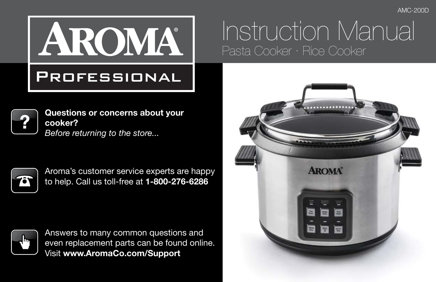AMC-200D

# AROMA

### **PROFESSIONAL**



**Questions or concerns about your cooker?** *Before returning to the store...*



Aroma's customer service experts are happy to help. Call us toll-free at **1-800-276-6286**



Answers to many common questions and even replacement parts can be found online. Visit **www.AromaCo.com/Support**

# Instruction Manual Pasta Cooker · Rice Cooker

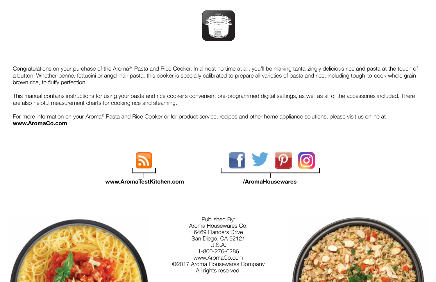

Congratulations on your purchase of the Aroma® Pasta and Rice Cooker. In almost no time at all, you'll be making tantalizingly delicious rice and pasta at the touch of a button! Whether penne, fettucini or angel-hair pasta, this cooker is specially calibrated to prepare all varieties of pasta and rice, including tough-to-cook whole grain brown rice, to fluffy perfection.

This manual contains instructions for using your pasta and rice cooker's convenient pre-programmed digital settings, as well as all of the accessories included. There are also helpful measurement charts for cooking rice and steaming.

For more information on your Aroma® Pasta and Rice Cooker or for product service, recipes and other home appliance solutions, please visit us online at **www.AromaCo.com**





Published By: Aroma Housewares Co. 6469 Flanders Drive San Diego, CA 92121 U.S.A. 1-800-276-6286 www.AromaCo.com ©2017 Aroma Housewares Company All rights reserved.

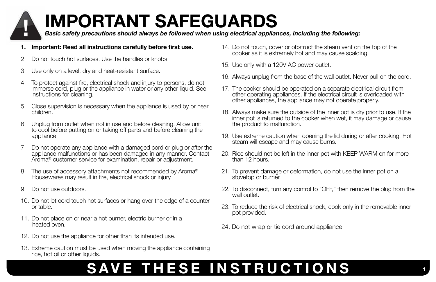# **IMPORTANT SAFEGUARDS**

*Basic safety precautions should always be followed when using electrical appliances, including the following:*

- **1. Important: Read all instructions carefully before first use.**
- 2. Do not touch hot surfaces. Use the handles or knobs.
- 3. Use only on a level, dry and heat-resistant surface.
- 4. To protect against fire, electrical shock and injury to persons, do not immerse cord, plug or the appliance in water or any other liquid. See instructions for cleaning.
- 5. Close supervision is necessary when the appliance is used by or near children.
- 6. Unplug from outlet when not in use and before cleaning. Allow unit to cool before putting on or taking off parts and before cleaning the appliance.
- 7. Do not operate any appliance with a damaged cord or plug or after the appliance malfunctions or has been damaged in any manner. Contact Aroma<sup>®</sup> customer service for examination, repair or adjustment.
- 8. The use of accessory attachments not recommended by Aroma® Housewares may result in fire, electrical shock or injury.
- 9. Do not use outdoors.
- 10. Do not let cord touch hot surfaces or hang over the edge of a counter or table.
- 11. Do not place on or near a hot burner, electric burner or in a heated oven.
- 12. Do not use the appliance for other than its intended use.
- 13. Extreme caution must be used when moving the appliance containing rice, hot oil or other liquids.
- 14. Do not touch, cover or obstruct the steam vent on the top of the cooker as it is extremely hot and may cause scalding.
- 15. Use only with a 120V AC power outlet.
- 16. Always unplug from the base of the wall outlet. Never pull on the cord.
- 17. The cooker should be operated on a separate electrical circuit from other operating appliances. If the electrical circuit is overloaded with other appliances, the appliance may not operate properly.
- 18. Always make sure the outside of the inner pot is dry prior to use. If the inner pot is returned to the cooker when wet, it may damage or cause the product to malfunction.
- 19. Use extreme caution when opening the lid during or after cooking. Hot steam will escape and may cause burns.
- 20. Rice should not be left in the inner pot with KEEP WARM on for more than 12 hours.
- 21. To prevent damage or deformation, do not use the inner pot on a stovetop or burner.
- 22. To disconnect, turn any control to "OFF," then remove the plug from the wall outlet.
- 23. To reduce the risk of electrical shock, cook only in the removable inner pot provided.
- 24. Do not wrap or tie cord around appliance.

## **SAVE THESE INSTRUCTIONS**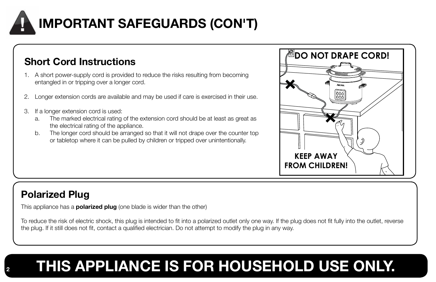

- 1. A short power-supply cord is provided to reduce the risks resulting from becoming entangled in or tripping over a longer cord.
- 2. Longer extension cords are available and may be used if care is exercised in their use.
- 3. If a longer extension cord is used:
	- a. The marked electrical rating of the extension cord should be at least as great as the electrical rating of the appliance.
	- b. The longer cord should be arranged so that it will not drape over the counter top or tabletop where it can be pulled by children or tripped over unintentionally.



### **Polarized Plug**

This appliance has a **polarized plug** (one blade is wider than the other)

To reduce the risk of electric shock, this plug is intended to fit into a polarized outlet only one way. If the plug does not fit fully into the outlet, reverse the plug. If it still does not fit, contact a qualified electrician. Do not attempt to modify the plug in any way.

# **<sup>2</sup> THIS APPLIANCE IS FOR HOUSEHOLD USE ONLY.**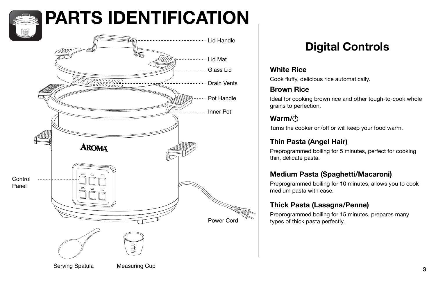# **PARTS IDENTIFICATION**



### **Digital Controls**

#### **White Rice**

Cook fluffy, delicious rice automatically.

#### **Brown Rice**

Ideal for cooking brown rice and other tough-to-cook whole grains to perfection.

#### **Warm/**

Turns the cooker on/off or will keep your food warm.

#### **Thin Pasta (Angel Hair)**

Preprogrammed boiling for 5 minutes, perfect for cooking thin, delicate pasta.

#### **Medium Pasta (Spaghetti/Macaroni)**

Preprogrammed boiling for 10 minutes, allows you to cook medium pasta with ease.

#### **Thick Pasta (Lasagna/Penne)**

Preprogrammed boiling for 15 minutes, prepares many types of thick pasta perfectly.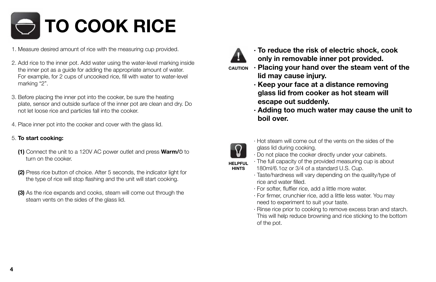# **TO COOK RICE**

- 1. Measure desired amount of rice with the measuring cup provided.
- 2. Add rice to the inner pot. Add water using the water-level marking inside the inner pot as a guide for adding the appropriate amount of water. For example, for 2 cups of uncooked rice, fill with water to water-level marking "2".
- 3. Before placing the inner pot into the cooker, be sure the heating plate, sensor and outside surface of the inner pot are clean and dry. Do not let loose rice and particles fall into the cooker.
- 4. Place inner pot into the cooker and cover with the glass lid.

#### 5. **To start cooking:**

- **(1)** Connect the unit to a 120V AC power outlet and press **Warm/** $\circ$  to turn on the cooker.
- **(2)** Press rice button of choice. After 5 seconds, the indicator light for the type of rice will stop flashing and the unit will start cooking.
- **(3)** As the rice expands and cooks, steam will come out through the steam vents on the sides of the glass lid.



- **· To reduce the risk of electric shock, cook only in removable inner pot provided.**
- **· Placing your hand over the steam vent of the lid may cause injury. CAUTION**
	- **· Keep your face at a distance removing glass lid from cooker as hot steam will escape out suddenly.**
	- **· Adding too much water may cause the unit to boil over.**



- · Hot steam will come out of the vents on the sides of the glass lid during cooking.
- · Do not place the cooker directly under your cabinets.
- · The full capacity of the provided measuring cup is about 180ml/6.1oz or 3/4 of a standard U.S. Cup.
- · Taste/hardness will vary depending on the quality/type of rice and water filled.
- · For softer, fluffier rice, add a little more water.
- · For firmer, crunchier rice, add a little less water. You may need to experiment to suit your taste.
- · Rinse rice prior to cooking to remove excess bran and starch. This will help reduce browning and rice sticking to the bottom of the pot.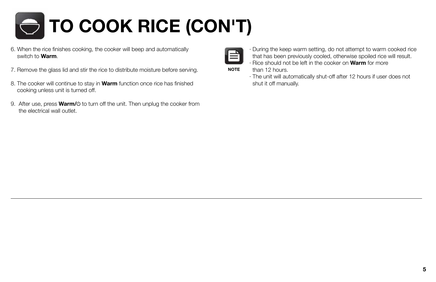

- 6. When the rice finishes cooking, the cooker will beep and automatically switch to **Warm**.
- 7. Remove the glass lid and stir the rice to distribute moisture before serving.
- 8. The cooker will continue to stay in **Warm** function once rice has finished cooking unless unit is turned off.
- 9. After use, press **Warm/** $\circ$  to turn off the unit. Then unplug the cooker from the electrical wall outlet.



- · During the keep warm setting, do not attempt to warm cooked rice that has been previously cooled, otherwise spoiled rice will result.
- · Rice should not be left in the cooker on **Warm** for more than 12 hours.

· The unit will automatically shut-off after 12 hours if user does not shut it off manually.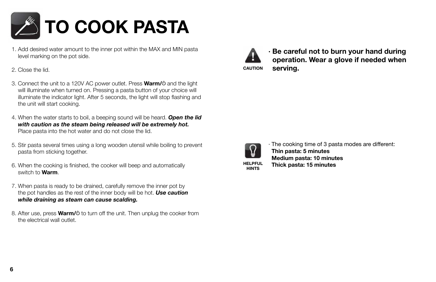

- 1. Add desired water amount to the inner pot within the MAX and MIN pasta level marking on the pot side.
- 2. Close the lid.
- 3. Connect the unit to a 120V AC power outlet. Press **Warm/** $\circ$  and the light will illuminate when turned on. Pressing a pasta button of your choice will illuminate the indicator light. After 5 seconds, the light will stop flashing and the unit will start cooking.
- 4. When the water starts to boil, a beeping sound will be heard. *Open the lid with caution as the steam being released will be extremely hot.*  Place pasta into the hot water and do not close the lid.
- 5. Stir pasta several times using a long wooden utensil while boiling to prevent pasta from sticking together.
- 6. When the cooking is finished, the cooker will beep and automatically switch to **Warm**.
- 7. When pasta is ready to be drained, carefully remove the inner pot by the pot handles as the rest of the inner body will be hot. *Use caution while draining as steam can cause scalding.*
- 8. After use, press **Warm/** $\circ$  to turn off the unit. Then unplug the cooker from the electrical wall outlet.



**· Be careful not to burn your hand during operation. Wear a glove if needed when CAUTION serving.**



· The cooking time of 3 pasta modes are different: **Thin pasta: 5 minutes Medium pasta: 10 minutes Thick pasta: 15 minutes**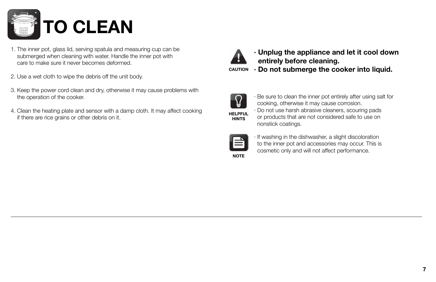

- 1. The inner pot, glass lid, serving spatula and measuring cup can be submerged when cleaning with water. Handle the inner pot with care to make sure it never becomes deformed.
- 2. Use a wet cloth to wipe the debris off the unit body.
- 3. Keep the power cord clean and dry, otherwise it may cause problems with the operation of the cooker.
- 4. Clean the heating plate and sensor with a damp cloth. It may affect cooking if there are rice grains or other debris on it.



- **· Unplug the appliance and let it cool down entirely before cleaning.**
- **CAUTION · Do not submerge the cooker into liquid.**



· Be sure to clean the inner pot entirely after using salt for cooking, otherwise it may cause corrosion. · Do not use harsh abrasive cleaners, scouring pads or products that are not considered safe to use on nonstick coatings.



· If washing in the dishwasher, a slight discoloration to the inner pot and accessories may occur. This is cosmetic only and will not affect performance.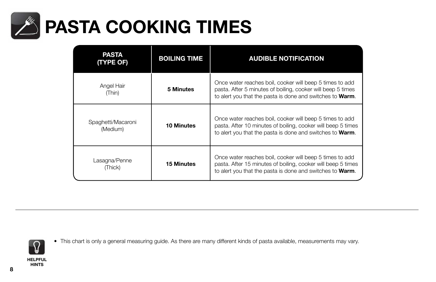

| PASTA<br>(TYPE OF)             | <b>BOILING TIME</b> | <b>AUDIBLE NOTIFICATION</b>                                                                                                                                                                   |
|--------------------------------|---------------------|-----------------------------------------------------------------------------------------------------------------------------------------------------------------------------------------------|
| Angel Hair<br>(Thin)           | 5 Minutes           | Once water reaches boil, cooker will beep 5 times to add<br>pasta. After 5 minutes of boiling, cooker will beep 5 times<br>to alert you that the pasta is done and switches to <b>Warm</b> .  |
| Spaghetti/Macaroni<br>(Medium) | <b>10 Minutes</b>   | Once water reaches boil, cooker will beep 5 times to add<br>pasta. After 10 minutes of boiling, cooker will beep 5 times<br>to alert you that the pasta is done and switches to <b>Warm</b> . |
| Lasagna/Penne<br>(Thick)       | <b>15 Minutes</b>   | Once water reaches boil, cooker will beep 5 times to add<br>pasta. After 15 minutes of boiling, cooker will beep 5 times<br>to alert you that the pasta is done and switches to <b>Warm</b> . |



• This chart is only a general measuring guide. As there are many different kinds of pasta available, measurements may vary.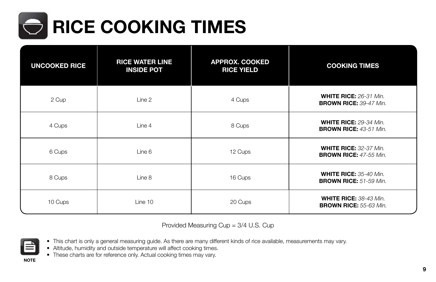

| <b>UNCOOKED RICE</b> | <b>RICE WATER LINE</b><br><b>INSIDE POT</b> | <b>APPROX. COOKED</b><br><b>RICE YIELD</b> | <b>COOKING TIMES</b>                                           |
|----------------------|---------------------------------------------|--------------------------------------------|----------------------------------------------------------------|
| 2 Cup                | Line 2                                      | 4 Cups                                     | <b>WHITE RICE: 26-31 Min.</b><br><b>BROWN RICE: 39-47 Min.</b> |
| 4 Cups               | Line 4                                      | 8 Cups                                     | <b>WHITE RICE: 29-34 Min.</b><br><b>BROWN RICE: 43-51 Min.</b> |
| 6 Cups               | Line 6                                      | 12 Cups                                    | <b>WHITE RICE: 32-37 Min.</b><br><b>BROWN RICE: 47-55 Min.</b> |
| 8 Cups               | Line 8                                      | 16 Cups                                    | <b>WHITE RICE: 35-40 Min.</b><br><b>BROWN RICE:</b> 51-59 Min. |
| 10 Cups              | Line 10                                     | 20 Cups                                    | <b>WHITE RICE: 38-43 Min.</b><br><b>BROWN RICE: 55-63 Min.</b> |

Provided Measuring Cup = 3/4 U.S. Cup



- This chart is only a general measuring guide. As there are many different kinds of rice available, measurements may vary.
- Altitude, humidity and outside temperature will affect cooking times.
- These charts are for reference only. Actual cooking times may vary.